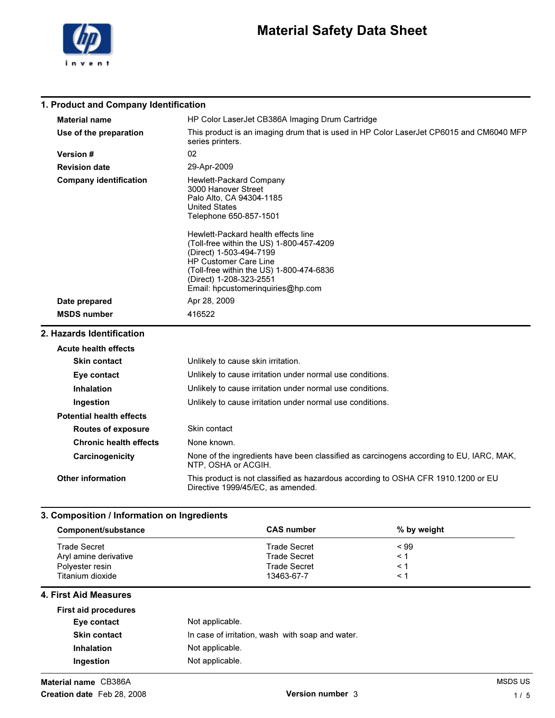

## Material Safety Data Sheet

### 1. Product and Company Identification

| <b>Material name</b>            | HP Color LaserJet CB386A Imaging Drum Cartridge                                                                                                                                                                                                                                                                                                                                        |
|---------------------------------|----------------------------------------------------------------------------------------------------------------------------------------------------------------------------------------------------------------------------------------------------------------------------------------------------------------------------------------------------------------------------------------|
| Use of the preparation          | This product is an imaging drum that is used in HP Color LaserJet CP6015 and CM6040 MFP<br>series printers.                                                                                                                                                                                                                                                                            |
| <b>Version#</b>                 | 02                                                                                                                                                                                                                                                                                                                                                                                     |
| <b>Revision date</b>            | 29-Apr-2009                                                                                                                                                                                                                                                                                                                                                                            |
| <b>Company identification</b>   | Hewlett-Packard Company<br>3000 Hanover Street<br>Palo Alto, CA 94304-1185<br><b>United States</b><br>Telephone 650-857-1501<br>Hewlett-Packard health effects line<br>(Toll-free within the US) 1-800-457-4209<br>(Direct) 1-503-494-7199<br><b>HP Customer Care Line</b><br>(Toll-free within the US) 1-800-474-6836<br>(Direct) 1-208-323-2551<br>Email: hpcustomeringuiries@hp.com |
| Date prepared                   | Apr 28, 2009                                                                                                                                                                                                                                                                                                                                                                           |
| <b>MSDS number</b>              | 416522                                                                                                                                                                                                                                                                                                                                                                                 |
| 2. Hazards Identification       |                                                                                                                                                                                                                                                                                                                                                                                        |
| <b>Acute health effects</b>     |                                                                                                                                                                                                                                                                                                                                                                                        |
| <b>Skin contact</b>             | Unlikely to cause skin irritation.                                                                                                                                                                                                                                                                                                                                                     |
| Eye contact                     | Unlikely to cause irritation under normal use conditions.                                                                                                                                                                                                                                                                                                                              |
| <b>Inhalation</b>               | Unlikely to cause irritation under normal use conditions.                                                                                                                                                                                                                                                                                                                              |
| Ingestion                       | Unlikely to cause irritation under normal use conditions.                                                                                                                                                                                                                                                                                                                              |
| <b>Potential health effects</b> |                                                                                                                                                                                                                                                                                                                                                                                        |
|                                 |                                                                                                                                                                                                                                                                                                                                                                                        |

| <b>Routes of exposure</b>     | Skin contact                                                                                                           |
|-------------------------------|------------------------------------------------------------------------------------------------------------------------|
| <b>Chronic health effects</b> | None known.                                                                                                            |
| Carcinogenicity               | None of the ingredients have been classified as carcinogens according to EU, IARC, MAK,<br>NTP, OSHA or ACGIH.         |
| <b>Other information</b>      | This product is not classified as hazardous according to OSHA CFR 1910.1200 or EU<br>Directive 1999/45/EC, as amended. |

#### 3. Composition / Information on Ingredients

| Component/substance   | <b>CAS</b> number   | % by weight |  |
|-----------------------|---------------------|-------------|--|
| Trade Secret          | <b>Trade Secret</b> | $~<$ 99     |  |
| Aryl amine derivative | <b>Trade Secret</b> |             |  |
| Polyester resin       | <b>Trade Secret</b> |             |  |
| Titanium dioxide      | 13463-67-7          |             |  |

#### 4. First Aid Measures

| Not applicable.                                  |
|--------------------------------------------------|
| In case of irritation, wash with soap and water. |
| Not applicable.                                  |
| Not applicable.                                  |
|                                                  |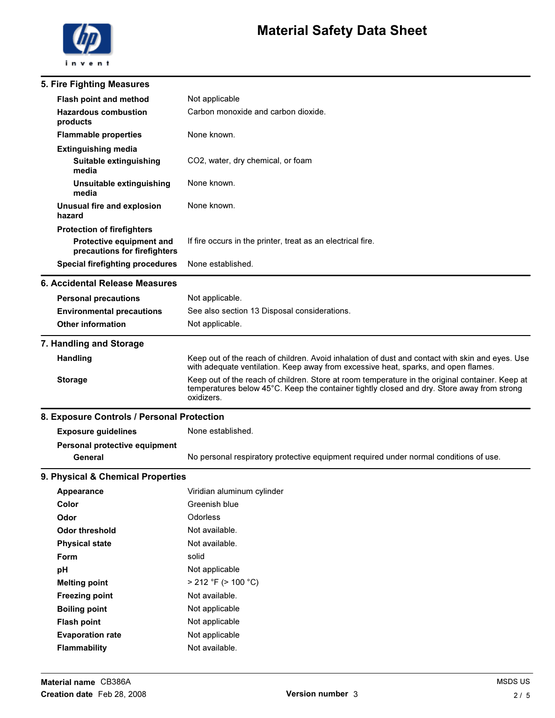

| 5. Fire Fighting Measures                                       |                                                                                                                                                                                                             |
|-----------------------------------------------------------------|-------------------------------------------------------------------------------------------------------------------------------------------------------------------------------------------------------------|
| Flash point and method                                          | Not applicable                                                                                                                                                                                              |
| <b>Hazardous combustion</b><br>products                         | Carbon monoxide and carbon dioxide.                                                                                                                                                                         |
| <b>Flammable properties</b>                                     | None known.                                                                                                                                                                                                 |
| <b>Extinguishing media</b>                                      |                                                                                                                                                                                                             |
| Suitable extinguishing<br>media                                 | CO2, water, dry chemical, or foam                                                                                                                                                                           |
| Unsuitable extinguishing<br>media                               | None known.                                                                                                                                                                                                 |
| Unusual fire and explosion<br>hazard                            | None known.                                                                                                                                                                                                 |
| <b>Protection of firefighters</b>                               |                                                                                                                                                                                                             |
| <b>Protective equipment and</b><br>precautions for firefighters | If fire occurs in the printer, treat as an electrical fire.                                                                                                                                                 |
| <b>Special firefighting procedures</b>                          | None established.                                                                                                                                                                                           |
| 6. Accidental Release Measures                                  |                                                                                                                                                                                                             |
| <b>Personal precautions</b>                                     | Not applicable.                                                                                                                                                                                             |
| <b>Environmental precautions</b>                                | See also section 13 Disposal considerations.                                                                                                                                                                |
| <b>Other information</b>                                        | Not applicable.                                                                                                                                                                                             |
| 7. Handling and Storage                                         |                                                                                                                                                                                                             |
| <b>Handling</b>                                                 | Keep out of the reach of children. Avoid inhalation of dust and contact with skin and eyes. Use<br>with adequate ventilation. Keep away from excessive heat, sparks, and open flames.                       |
| <b>Storage</b>                                                  | Keep out of the reach of children. Store at room temperature in the original container. Keep at<br>temperatures below 45°C. Keep the container tightly closed and dry. Store away from strong<br>oxidizers. |
| 8. Exposure Controls / Personal Protection                      |                                                                                                                                                                                                             |
| <b>Exposure guidelines</b>                                      | None established.                                                                                                                                                                                           |
| Personal protective equipment                                   |                                                                                                                                                                                                             |
| General                                                         | No personal respiratory protective equipment required under normal conditions of use.                                                                                                                       |
| 9. Physical & Chemical Properties                               |                                                                                                                                                                                                             |
| <b>Appearance</b>                                               | Viridian aluminum cylinder                                                                                                                                                                                  |
| Color                                                           | Greenish blue                                                                                                                                                                                               |
| Odor                                                            | Odorless                                                                                                                                                                                                    |
| <b>Odor threshold</b>                                           | Not available.                                                                                                                                                                                              |
| <b>Physical state</b>                                           | Not available.                                                                                                                                                                                              |
| Form                                                            | solid                                                                                                                                                                                                       |
| pH                                                              | Not applicable                                                                                                                                                                                              |
| <b>Melting point</b>                                            | $>$ 212 °F ( $>$ 100 °C)                                                                                                                                                                                    |
| <b>Freezing point</b>                                           | Not available.                                                                                                                                                                                              |
| <b>Boiling point</b>                                            | Not applicable                                                                                                                                                                                              |
| <b>Flash point</b>                                              | Not applicable                                                                                                                                                                                              |
| <b>Evaporation rate</b>                                         | Not applicable                                                                                                                                                                                              |
| Flammability                                                    | Not available.                                                                                                                                                                                              |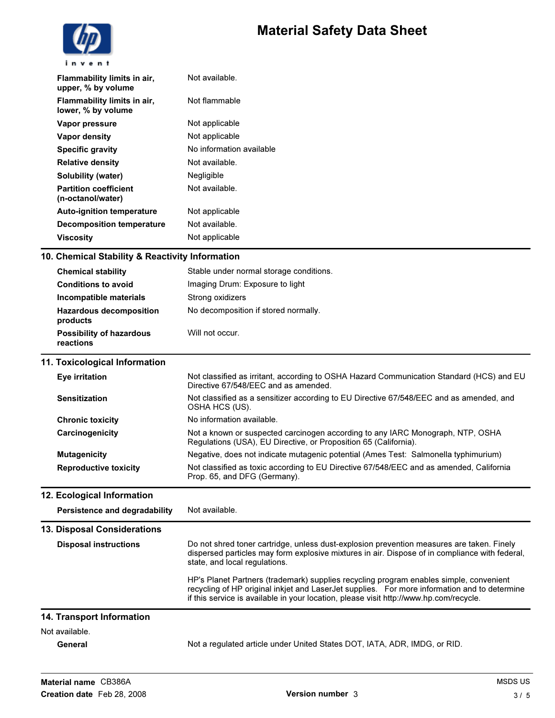

| Not available.<br>Flammability limits in air,<br>upper, % by volume<br>Not flammable<br>Flammability limits in air,<br>lower, % by volume<br>Not applicable<br>Vapor pressure<br>Not applicable<br>Vapor density<br>No information available<br><b>Specific gravity</b><br>Not available.<br><b>Relative density</b><br>Negligible<br>Solubility (water)<br>Not available.<br><b>Partition coefficient</b><br>(n-octanol/water)<br>Not applicable<br><b>Auto-ignition temperature</b><br>Not available.<br><b>Decomposition temperature</b><br>Not applicable<br>Viscosity |  |
|----------------------------------------------------------------------------------------------------------------------------------------------------------------------------------------------------------------------------------------------------------------------------------------------------------------------------------------------------------------------------------------------------------------------------------------------------------------------------------------------------------------------------------------------------------------------------|--|
|                                                                                                                                                                                                                                                                                                                                                                                                                                                                                                                                                                            |  |
|                                                                                                                                                                                                                                                                                                                                                                                                                                                                                                                                                                            |  |
|                                                                                                                                                                                                                                                                                                                                                                                                                                                                                                                                                                            |  |
|                                                                                                                                                                                                                                                                                                                                                                                                                                                                                                                                                                            |  |
|                                                                                                                                                                                                                                                                                                                                                                                                                                                                                                                                                                            |  |
|                                                                                                                                                                                                                                                                                                                                                                                                                                                                                                                                                                            |  |
|                                                                                                                                                                                                                                                                                                                                                                                                                                                                                                                                                                            |  |
|                                                                                                                                                                                                                                                                                                                                                                                                                                                                                                                                                                            |  |
|                                                                                                                                                                                                                                                                                                                                                                                                                                                                                                                                                                            |  |
|                                                                                                                                                                                                                                                                                                                                                                                                                                                                                                                                                                            |  |
|                                                                                                                                                                                                                                                                                                                                                                                                                                                                                                                                                                            |  |

### 10. Chemical Stability & Reactivity Information

| <b>Chemical stability</b>                    | Stable under normal storage conditions. |
|----------------------------------------------|-----------------------------------------|
| <b>Conditions to avoid</b>                   | Imaging Drum: Exposure to light         |
| Incompatible materials                       | Strong oxidizers                        |
| <b>Hazardous decomposition</b><br>products   | No decomposition if stored normally.    |
| <b>Possibility of hazardous</b><br>reactions | Will not occur.                         |

#### 11. Toxicological Information

| Eye irritation               | Not classified as irritant, according to OSHA Hazard Communication Standard (HCS) and EU<br>Directive 67/548/EEC and as amended.                   |
|------------------------------|----------------------------------------------------------------------------------------------------------------------------------------------------|
| <b>Sensitization</b>         | Not classified as a sensitizer according to EU Directive 67/548/EEC and as amended, and<br>OSHA HCS (US).                                          |
| <b>Chronic toxicity</b>      | No information available.                                                                                                                          |
| Carcinogenicity              | Not a known or suspected carcinogen according to any IARC Monograph, NTP, OSHA<br>Regulations (USA), EU Directive, or Proposition 65 (California). |
| <b>Mutagenicity</b>          | Negative, does not indicate mutagenic potential (Ames Test: Salmonella typhimurium)                                                                |
| <b>Reproductive toxicity</b> | Not classified as toxic according to EU Directive 67/548/EEC and as amended, California<br>Prop. 65, and DFG (Germany).                            |

#### 12. Ecological Information

Persistence and degradability Not available.

#### 13. Disposal Considerations

| <b>Disposal instructions</b> | Do not shred toner cartridge, unless dust-explosion prevention measures are taken. Finely<br>dispersed particles may form explosive mixtures in air. Dispose of in compliance with federal,<br>state, and local regulations.                                                     |
|------------------------------|----------------------------------------------------------------------------------------------------------------------------------------------------------------------------------------------------------------------------------------------------------------------------------|
|                              | HP's Planet Partners (trademark) supplies recycling program enables simple, convenient<br>recycling of HP original inkjet and LaserJet supplies. For more information and to determine<br>if this service is available in your location, please visit http://www.hp.com/recycle. |
| 14. Transport Information    |                                                                                                                                                                                                                                                                                  |
| Not available.               |                                                                                                                                                                                                                                                                                  |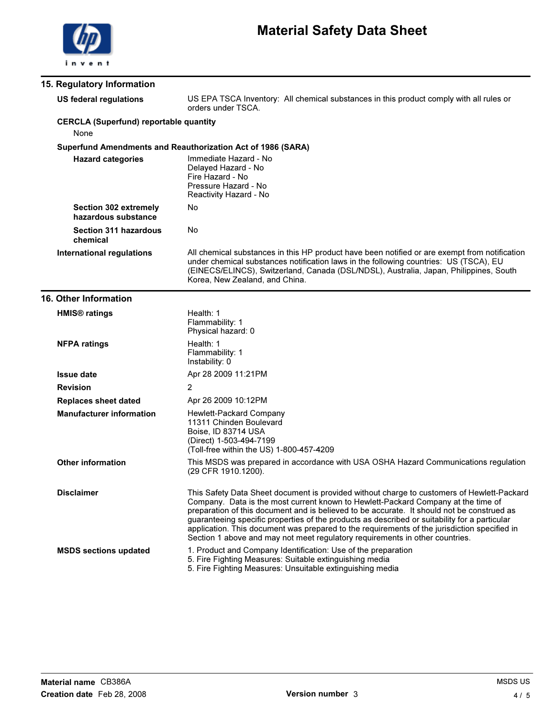

| 15. Regulatory Information       |                                                     |                                                                                                                                                                                                                                                                                                                                                                                                                                                                                                                                                                |
|----------------------------------|-----------------------------------------------------|----------------------------------------------------------------------------------------------------------------------------------------------------------------------------------------------------------------------------------------------------------------------------------------------------------------------------------------------------------------------------------------------------------------------------------------------------------------------------------------------------------------------------------------------------------------|
| <b>US federal regulations</b>    |                                                     | US EPA TSCA Inventory: All chemical substances in this product comply with all rules or<br>orders under TSCA.                                                                                                                                                                                                                                                                                                                                                                                                                                                  |
| None                             | <b>CERCLA (Superfund) reportable quantity</b>       |                                                                                                                                                                                                                                                                                                                                                                                                                                                                                                                                                                |
|                                  |                                                     | Superfund Amendments and Reauthorization Act of 1986 (SARA)                                                                                                                                                                                                                                                                                                                                                                                                                                                                                                    |
|                                  | <b>Hazard categories</b>                            | Immediate Hazard - No<br>Delayed Hazard - No<br>Fire Hazard - No<br>Pressure Hazard - No<br>Reactivity Hazard - No                                                                                                                                                                                                                                                                                                                                                                                                                                             |
|                                  | <b>Section 302 extremely</b><br>hazardous substance | No                                                                                                                                                                                                                                                                                                                                                                                                                                                                                                                                                             |
| chemical                         | <b>Section 311 hazardous</b>                        | No                                                                                                                                                                                                                                                                                                                                                                                                                                                                                                                                                             |
| <b>International regulations</b> |                                                     | All chemical substances in this HP product have been notified or are exempt from notification<br>under chemical substances notification laws in the following countries: US (TSCA), EU<br>(EINECS/ELINCS), Switzerland, Canada (DSL/NDSL), Australia, Japan, Philippines, South<br>Korea, New Zealand, and China.                                                                                                                                                                                                                                              |
| <b>16. Other Information</b>     |                                                     |                                                                                                                                                                                                                                                                                                                                                                                                                                                                                                                                                                |
| <b>HMIS<sup>®</sup></b> ratings  |                                                     | Health: 1<br>Flammability: 1<br>Physical hazard: 0                                                                                                                                                                                                                                                                                                                                                                                                                                                                                                             |
| <b>NFPA ratings</b>              |                                                     | Health: 1<br>Flammability: 1<br>Instability: 0                                                                                                                                                                                                                                                                                                                                                                                                                                                                                                                 |
| <b>Issue date</b>                |                                                     | Apr 28 2009 11:21PM                                                                                                                                                                                                                                                                                                                                                                                                                                                                                                                                            |
| <b>Revision</b>                  |                                                     | 2                                                                                                                                                                                                                                                                                                                                                                                                                                                                                                                                                              |
| <b>Replaces sheet dated</b>      |                                                     | Apr 26 2009 10:12PM                                                                                                                                                                                                                                                                                                                                                                                                                                                                                                                                            |
|                                  | <b>Manufacturer information</b>                     | Hewlett-Packard Company<br>11311 Chinden Boulevard<br>Boise, ID 83714 USA<br>(Direct) 1-503-494-7199<br>(Toll-free within the US) 1-800-457-4209                                                                                                                                                                                                                                                                                                                                                                                                               |
| <b>Other information</b>         |                                                     | This MSDS was prepared in accordance with USA OSHA Hazard Communications regulation<br>(29 CFR 1910.1200).                                                                                                                                                                                                                                                                                                                                                                                                                                                     |
| <b>Disclaimer</b>                |                                                     | This Safety Data Sheet document is provided without charge to customers of Hewlett-Packard<br>Company. Data is the most current known to Hewlett-Packard Company at the time of<br>preparation of this document and is believed to be accurate. It should not be construed as<br>guaranteeing specific properties of the products as described or suitability for a particular<br>application. This document was prepared to the requirements of the jurisdiction specified in<br>Section 1 above and may not meet regulatory requirements in other countries. |
| <b>MSDS sections updated</b>     |                                                     | 1. Product and Company Identification: Use of the preparation<br>5. Fire Fighting Measures: Suitable extinguishing media<br>5. Fire Fighting Measures: Unsuitable extinguishing media                                                                                                                                                                                                                                                                                                                                                                          |